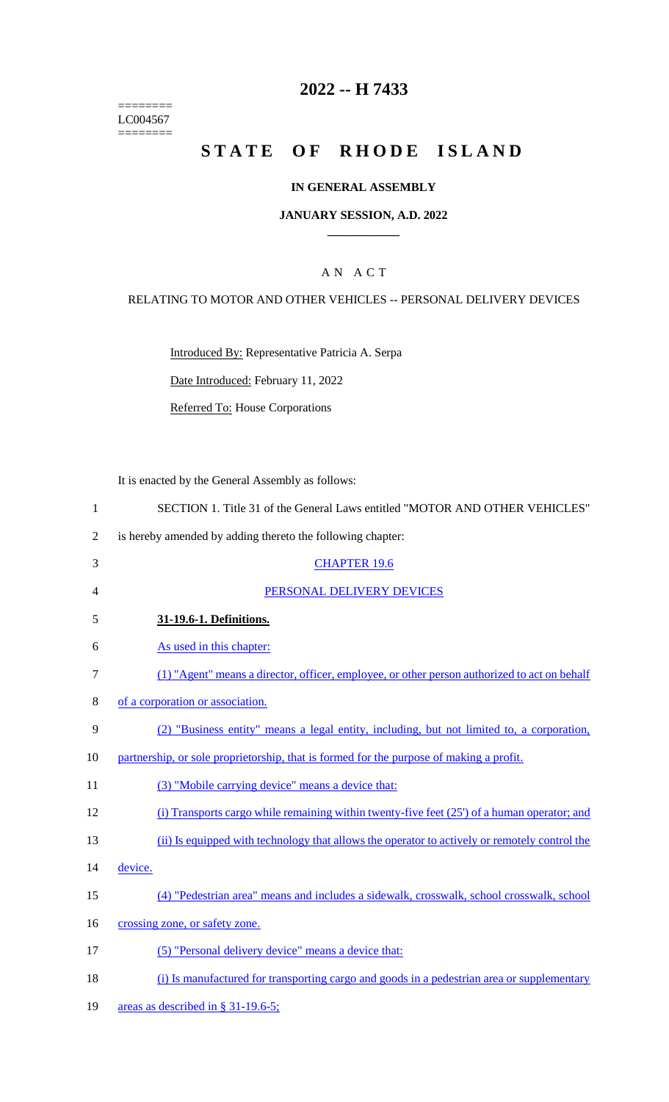======== LC004567 ========

# **2022 -- H 7433**

# **STATE OF RHODE ISLAND**

### **IN GENERAL ASSEMBLY**

### **JANUARY SESSION, A.D. 2022 \_\_\_\_\_\_\_\_\_\_\_\_**

### A N A C T

### RELATING TO MOTOR AND OTHER VEHICLES -- PERSONAL DELIVERY DEVICES

Introduced By: Representative Patricia A. Serpa

Date Introduced: February 11, 2022

Referred To: House Corporations

It is enacted by the General Assembly as follows:

| $\mathbf{1}$   | SECTION 1. Title 31 of the General Laws entitled "MOTOR AND OTHER VEHICLES"                   |
|----------------|-----------------------------------------------------------------------------------------------|
| $\overline{2}$ | is hereby amended by adding thereto the following chapter:                                    |
| 3              | <b>CHAPTER 19.6</b>                                                                           |
| 4              | PERSONAL DELIVERY DEVICES                                                                     |
| 5              | 31-19.6-1. Definitions.                                                                       |
| 6              | As used in this chapter:                                                                      |
| 7              | (1) "Agent" means a director, officer, employee, or other person authorized to act on behalf  |
| 8              | of a corporation or association.                                                              |
| 9              | (2) "Business entity" means a legal entity, including, but not limited to, a corporation,     |
| 10             | partnership, or sole proprietorship, that is formed for the purpose of making a profit.       |
| 11             | (3) "Mobile carrying device" means a device that:                                             |
| 12             | (i) Transports cargo while remaining within twenty-five feet $(25)$ of a human operator; and  |
| 13             | (ii) Is equipped with technology that allows the operator to actively or remotely control the |
| 14             | device.                                                                                       |
| 15             | (4) "Pedestrian area" means and includes a sidewalk, crosswalk, school crosswalk, school      |
| 16             | crossing zone, or safety zone.                                                                |
| 17             | (5) "Personal delivery device" means a device that:                                           |
| 18             | (i) Is manufactured for transporting cargo and goods in a pedestrian area or supplementary    |
|                |                                                                                               |

19 areas as described in § 31-19.6-5;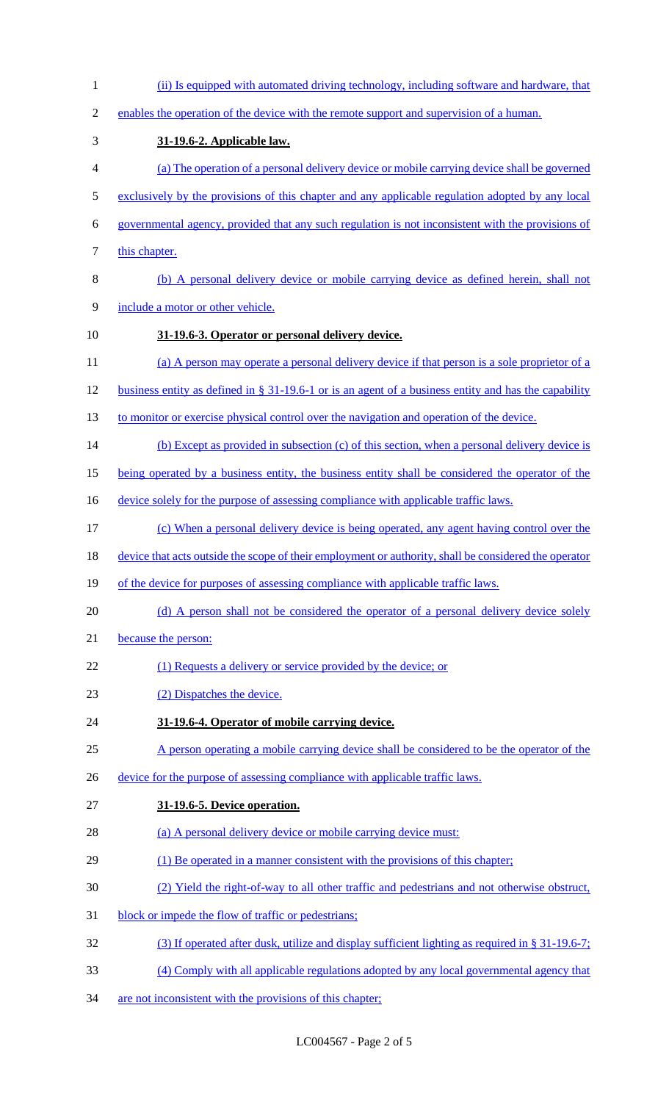| $\mathbf{1}$   | (ii) Is equipped with automated driving technology, including software and hardware, that             |
|----------------|-------------------------------------------------------------------------------------------------------|
| $\overline{2}$ | enables the operation of the device with the remote support and supervision of a human.               |
| 3              | 31-19.6-2. Applicable law.                                                                            |
| $\overline{4}$ | (a) The operation of a personal delivery device or mobile carrying device shall be governed           |
| 5              | exclusively by the provisions of this chapter and any applicable regulation adopted by any local      |
| 6              | governmental agency, provided that any such regulation is not inconsistent with the provisions of     |
| $\tau$         | this chapter.                                                                                         |
| $8\,$          | (b) A personal delivery device or mobile carrying device as defined herein, shall not                 |
| $\mathbf{9}$   | include a motor or other vehicle.                                                                     |
| 10             | 31-19.6-3. Operator or personal delivery device.                                                      |
| 11             | (a) A person may operate a personal delivery device if that person is a sole proprietor of a          |
| 12             | business entity as defined in § 31-19.6-1 or is an agent of a business entity and has the capability  |
| 13             | to monitor or exercise physical control over the navigation and operation of the device.              |
| 14             | (b) Except as provided in subsection (c) of this section, when a personal delivery device is          |
| 15             | being operated by a business entity, the business entity shall be considered the operator of the      |
| 16             | device solely for the purpose of assessing compliance with applicable traffic laws.                   |
| 17             | (c) When a personal delivery device is being operated, any agent having control over the              |
| 18             | device that acts outside the scope of their employment or authority, shall be considered the operator |
| 19             | of the device for purposes of assessing compliance with applicable traffic laws.                      |
| 20             | (d) A person shall not be considered the operator of a personal delivery device solely                |
| 21             | because the person:                                                                                   |
| 22             | (1) Requests a delivery or service provided by the device; or                                         |
| 23             | (2) Dispatches the device.                                                                            |
| 24             | 31-19.6-4. Operator of mobile carrying device.                                                        |
| 25             | A person operating a mobile carrying device shall be considered to be the operator of the             |
| 26             | device for the purpose of assessing compliance with applicable traffic laws.                          |
| 27             | 31-19.6-5. Device operation.                                                                          |
| 28             | (a) A personal delivery device or mobile carrying device must:                                        |
| 29             | (1) Be operated in a manner consistent with the provisions of this chapter;                           |
| 30             | (2) Yield the right-of-way to all other traffic and pedestrians and not otherwise obstruct,           |
| 31             | block or impede the flow of traffic or pedestrians;                                                   |
| 32             | (3) If operated after dusk, utilize and display sufficient lighting as required in $\S 31-19.6-7$ ;   |
| 33             | (4) Comply with all applicable regulations adopted by any local governmental agency that              |
| 34             | are not inconsistent with the provisions of this chapter;                                             |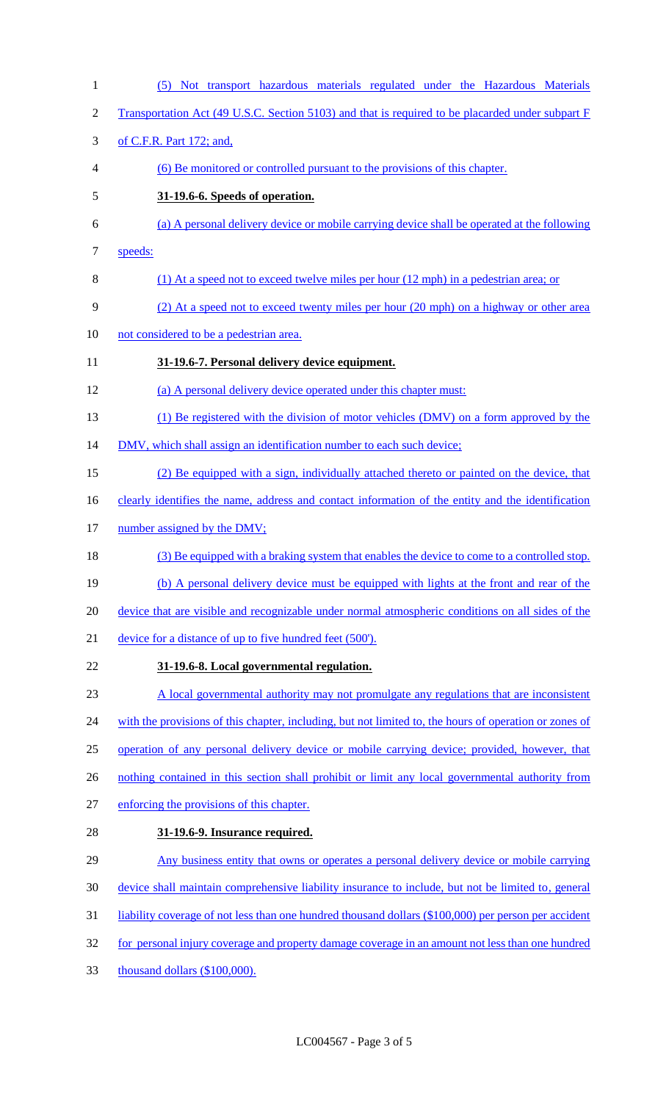(5) Not transport hazardous materials regulated under the Hazardous Materials 2 Transportation Act (49 U.S.C. Section 5103) and that is required to be placarded under subpart F of C.F.R. Part 172; and, (6) Be monitored or controlled pursuant to the provisions of this chapter. **31-19.6-6. Speeds of operation.**  (a) A personal delivery device or mobile carrying device shall be operated at the following 7 speeds: (1) At a speed not to exceed twelve miles per hour (12 mph) in a pedestrian area; or (2) At a speed not to exceed twenty miles per hour (20 mph) on a highway or other area not considered to be a pedestrian area. **31-19.6-7. Personal delivery device equipment.**  (a) A personal delivery device operated under this chapter must: (1) Be registered with the division of motor vehicles (DMV) on a form approved by the 14 DMV, which shall assign an identification number to each such device; (2) Be equipped with a sign, individually attached thereto or painted on the device, that 16 clearly identifies the name, address and contact information of the entity and the identification 17 number assigned by the DMV; (3) Be equipped with a braking system that enables the device to come to a controlled stop. (b) A personal delivery device must be equipped with lights at the front and rear of the device that are visible and recognizable under normal atmospheric conditions on all sides of the device for a distance of up to five hundred feet (500'). **31-19.6-8. Local governmental regulation.**  A local governmental authority may not promulgate any regulations that are inconsistent 24 with the provisions of this chapter, including, but not limited to, the hours of operation or zones of operation of any personal delivery device or mobile carrying device; provided, however, that 26 nothing contained in this section shall prohibit or limit any local governmental authority from enforcing the provisions of this chapter. **31-19.6-9. Insurance required.**  Any business entity that owns or operates a personal delivery device or mobile carrying device shall maintain comprehensive liability insurance to include, but not be limited to, general liability coverage of not less than one hundred thousand dollars (\$100,000) per person per accident 32 for personal injury coverage and property damage coverage in an amount not less than one hundred thousand dollars (\$100,000).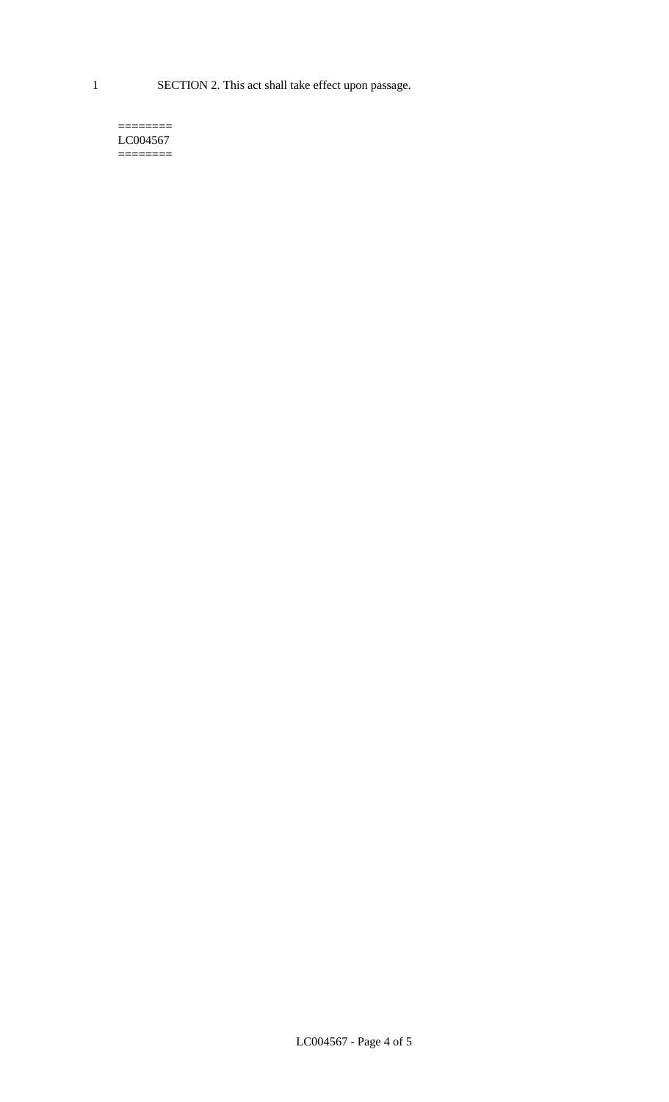1 SECTION 2. This act shall take effect upon passage.

#### $=$ LC004567  $=$